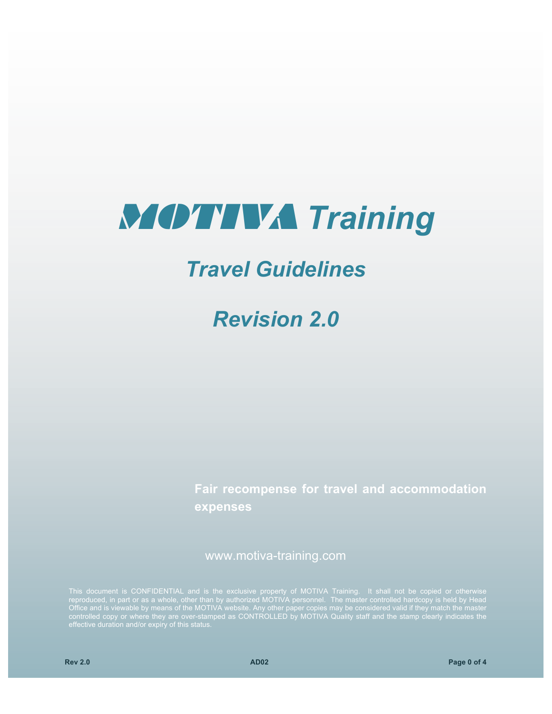# MOTIVA *Training*

## *Travel Guidelines*

*Revision 2.0*

**Fair recompense for travel and accommodation expenses**

www.motiva-training.com

Office and is viewable by means of the MOTIVA website. Any other paper copies may be considered valid if they match the master controlled copy or where they are over-stamped as CONTROLLED by MOTIVA Quality staff and the stamp clearly indicates the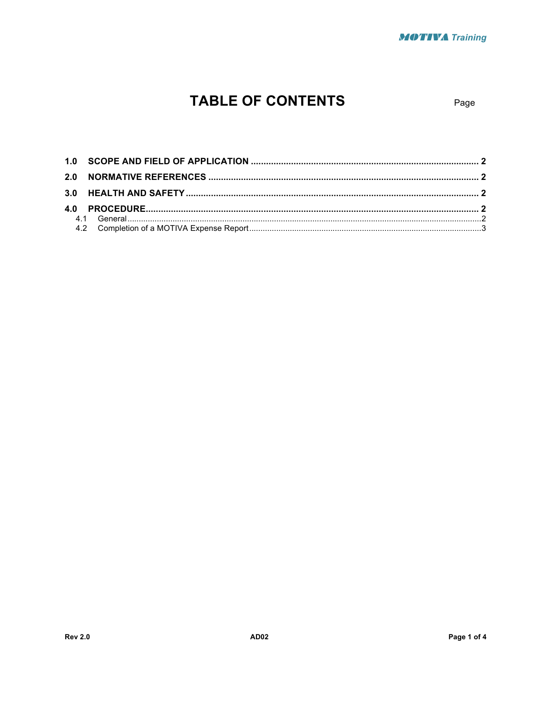## **TABLE OF CONTENTS**

Page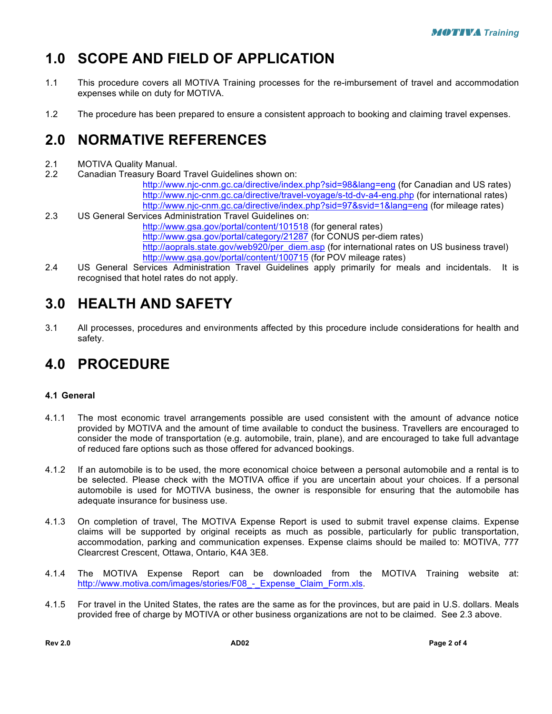## **1.0 SCOPE AND FIELD OF APPLICATION**

- 1.1 This procedure covers all MOTIVA Training processes for the re-imbursement of travel and accommodation expenses while on duty for MOTIVA.
- 1.2 The procedure has been prepared to ensure a consistent approach to booking and claiming travel expenses.

#### **2.0 NORMATIVE REFERENCES**

- 2.1 MOTIVA Quality Manual.
- 2.2 Canadian Treasury Board Travel Guidelines shown on:

http://www.njc-cnm.gc.ca/directive/index.php?sid=98&lang=eng (for Canadian and US rates) http://www.njc-cnm.gc.ca/directive/travel-voyage/s-td-dv-a4-eng.php (for international rates) http://www.njc-cnm.gc.ca/directive/index.php?sid=97&svid=1&lang=eng (for mileage rates)

2.3 US General Services Administration Travel Guidelines on:

http://www.gsa.gov/portal/content/101518 (for general rates)

http://www.gsa.gov/portal/category/21287 (for CONUS per-diem rates)

http://aoprals.state.gov/web920/per\_diem.asp (for international rates on US business travel) http://www.gsa.gov/portal/content/100715 (for POV mileage rates)

2.4 US General Services Administration Travel Guidelines apply primarily for meals and incidentals. It is recognised that hotel rates do not apply.

#### **3.0 HEALTH AND SAFETY**

3.1 All processes, procedures and environments affected by this procedure include considerations for health and safety.

### **4.0 PROCEDURE**

#### **4.1 General**

- 4.1.1 The most economic travel arrangements possible are used consistent with the amount of advance notice provided by MOTIVA and the amount of time available to conduct the business. Travellers are encouraged to consider the mode of transportation (e.g. automobile, train, plane), and are encouraged to take full advantage of reduced fare options such as those offered for advanced bookings.
- 4.1.2 If an automobile is to be used, the more economical choice between a personal automobile and a rental is to be selected. Please check with the MOTIVA office if you are uncertain about your choices. If a personal automobile is used for MOTIVA business, the owner is responsible for ensuring that the automobile has adequate insurance for business use.
- 4.1.3 On completion of travel, The MOTIVA Expense Report is used to submit travel expense claims. Expense claims will be supported by original receipts as much as possible, particularly for public transportation, accommodation, parking and communication expenses. Expense claims should be mailed to: MOTIVA, 777 Clearcrest Crescent, Ottawa, Ontario, K4A 3E8.
- 4.1.4 The MOTIVA Expense Report can be downloaded from the MOTIVA Training website at: http://www.motiva.com/images/stories/F08\_-\_Expense\_Claim\_Form.xls.
- 4.1.5 For travel in the United States, the rates are the same as for the provinces, but are paid in U.S. dollars. Meals provided free of charge by MOTIVA or other business organizations are not to be claimed. See 2.3 above.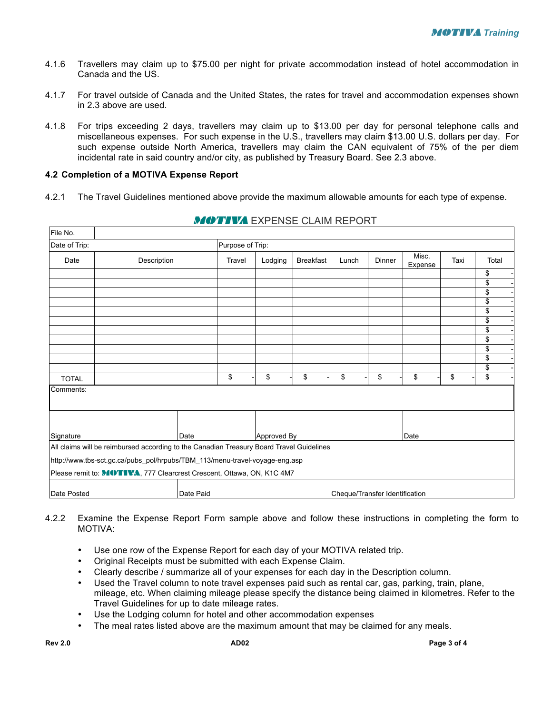- 4.1.6 Travellers may claim up to \$75.00 per night for private accommodation instead of hotel accommodation in Canada and the US.
- 4.1.7 For travel outside of Canada and the United States, the rates for travel and accommodation expenses shown in 2.3 above are used.
- 4.1.8 For trips exceeding 2 days, travellers may claim up to \$13.00 per day for personal telephone calls and miscellaneous expenses. For such expense in the U.S., travellers may claim \$13.00 U.S. dollars per day. For such expense outside North America, travellers may claim the CAN equivalent of 75% of the per diem incidental rate in said country and/or city, as published by Treasury Board. See 2.3 above.

#### **4.2 Completion of a MOTIVA Expense Report**

4.2.1 The Travel Guidelines mentioned above provide the maximum allowable amounts for each type of expense.

| File No.            |                                                                                          |           |             |         |                  |                                |        |                  |      |          |
|---------------------|------------------------------------------------------------------------------------------|-----------|-------------|---------|------------------|--------------------------------|--------|------------------|------|----------|
| Date of Trip:       | Purpose of Trip:                                                                         |           |             |         |                  |                                |        |                  |      |          |
| Date<br>Description |                                                                                          |           | Travel      | Lodging | <b>Breakfast</b> | Lunch                          | Dinner | Misc.<br>Expense | Taxi | Total    |
|                     |                                                                                          |           |             |         |                  |                                |        |                  |      | \$       |
|                     |                                                                                          |           |             |         |                  |                                |        |                  |      | \$       |
|                     |                                                                                          |           |             |         |                  |                                |        |                  |      | \$       |
|                     |                                                                                          |           |             |         |                  |                                |        |                  |      | \$       |
|                     |                                                                                          |           |             |         |                  |                                |        |                  |      | \$       |
|                     |                                                                                          |           |             |         |                  |                                |        |                  |      | \$       |
|                     |                                                                                          |           |             |         |                  |                                |        |                  |      | \$       |
|                     |                                                                                          |           |             |         |                  |                                |        |                  |      | \$       |
|                     |                                                                                          |           |             |         |                  |                                |        |                  |      | \$<br>\$ |
|                     |                                                                                          |           |             |         |                  |                                |        |                  |      | \$       |
| <b>TOTAL</b>        |                                                                                          |           | \$          | \$      | \$               | \$                             | \$     | \$               | \$   | \$       |
| Comments:           |                                                                                          |           |             |         |                  |                                |        |                  |      |          |
|                     |                                                                                          |           |             |         |                  |                                |        |                  |      |          |
| Signature<br>Date   |                                                                                          |           | Approved By |         |                  | Date                           |        |                  |      |          |
|                     | All claims will be reimbursed according to the Canadian Treasury Board Travel Guidelines |           |             |         |                  |                                |        |                  |      |          |
|                     | http://www.tbs-sct.gc.ca/pubs_pol/hrpubs/TBM_113/menu-travel-voyage-eng.asp              |           |             |         |                  |                                |        |                  |      |          |
|                     | Please remit to: MOTIVA, 777 Clearcrest Crescent, Ottawa, ON, K1C 4M7                    |           |             |         |                  |                                |        |                  |      |          |
| Date Posted         |                                                                                          | Date Paid |             |         |                  | Cheque/Transfer Identification |        |                  |      |          |

#### **MOTIVA** EXPENSE CLAIM REPORT

- 4.2.2 Examine the Expense Report Form sample above and follow these instructions in completing the form to MOTIVA:
	- Use one row of the Expense Report for each day of your MOTIVA related trip.
	- Original Receipts must be submitted with each Expense Claim.
	- Clearly describe / summarize all of your expenses for each day in the Description column.
	- Used the Travel column to note travel expenses paid such as rental car, gas, parking, train, plane, mileage, etc. When claiming mileage please specify the distance being claimed in kilometres. Refer to the Travel Guidelines for up to date mileage rates.
	- Use the Lodging column for hotel and other accommodation expenses
	- The meal rates listed above are the maximum amount that may be claimed for any meals.